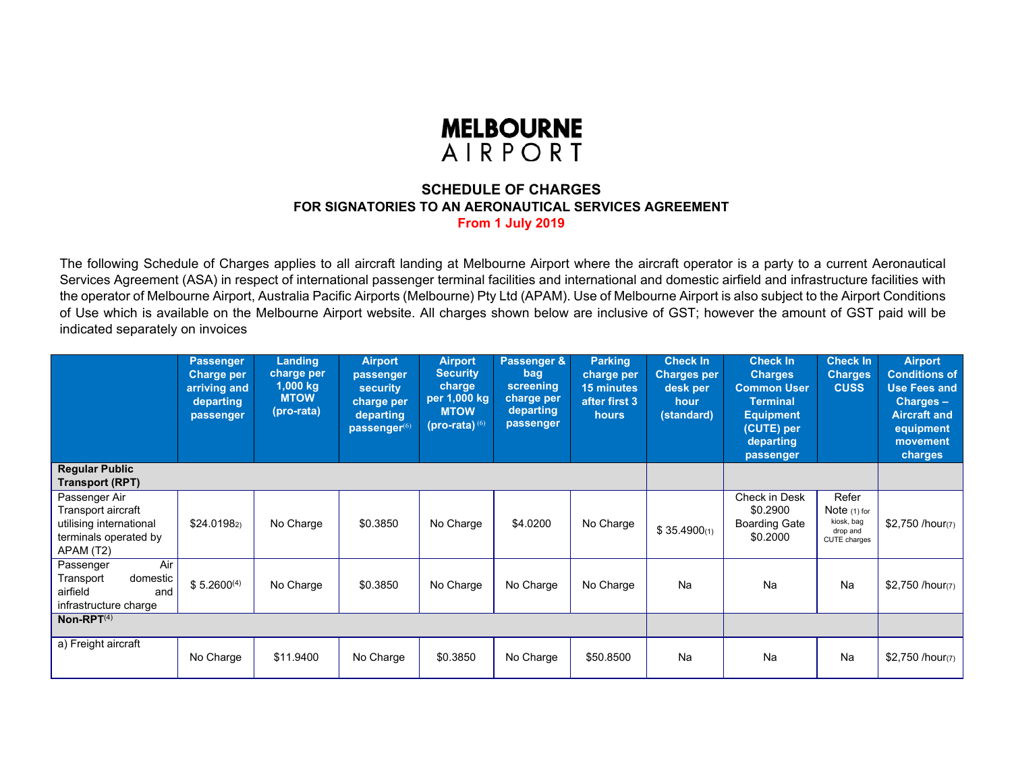

## **SCHEDULE OF CHARGESFOR SIGNATORIES TO AN AERONAUTICAL SERVICES AGREEMENT From 1 July 2019**

The following Schedule of Charges applies to all aircraft landing at Melbourne Airport where the aircraft operator is a party to a current Aeronautical Services Agreement (ASA) in respect of international passenger terminal facilities and international and domestic airfield and infrastructure facilities with the operator of Melbourne Airport, Australia Pacific Airports (Melbourne) Pty Ltd (APAM). Use of Melbourne Airport is also subject to the Airport Conditions of Use which is available on the Melbourne Airport website. All charges shown below are inclusive of GST; however the amount of GST paid will be indicated separately on invoices

|                                                                                                      | <b>Passenger</b><br><b>Charge per</b><br>arriving and<br>departing<br>passenger | Landing<br>charge per<br>$1,000$ kg<br><b>MTOW</b><br>(pro-rata) | <b>Airport</b><br>passenger<br><b>security</b><br>charge per<br>departing<br>passenger <sup>(6)</sup> | <b>Airport</b><br><b>Security</b><br>charge<br>per 1,000 kg<br><b>MTOW</b><br>$(prox(-ia)^{(6)}$ | Passenger &<br>bag<br>screening<br>charge per<br>departing<br>passenger | <b>Parking</b><br>charge per<br><b>15 minutes</b><br>after first 3<br><b>hours</b> | <b>Check In</b><br><b>Charges per</b><br>desk per<br>hour<br>(standard) | <b>Check In</b><br><b>Charges</b><br><b>Common User</b><br><b>Terminal</b><br><b>Equipment</b><br>(CUTE) per<br>departing<br>passenger | <b>Check In</b><br><b>Charges</b><br><b>CUSS</b>                  | <b>Airport</b><br><b>Conditions of</b><br><b>Use Fees and</b><br>Charges -<br><b>Aircraft and</b><br>equipment<br>movement<br>charges |
|------------------------------------------------------------------------------------------------------|---------------------------------------------------------------------------------|------------------------------------------------------------------|-------------------------------------------------------------------------------------------------------|--------------------------------------------------------------------------------------------------|-------------------------------------------------------------------------|------------------------------------------------------------------------------------|-------------------------------------------------------------------------|----------------------------------------------------------------------------------------------------------------------------------------|-------------------------------------------------------------------|---------------------------------------------------------------------------------------------------------------------------------------|
| <b>Regular Public</b><br>Transport (RPT)                                                             |                                                                                 |                                                                  |                                                                                                       |                                                                                                  |                                                                         |                                                                                    |                                                                         |                                                                                                                                        |                                                                   |                                                                                                                                       |
| Passenger Air<br>Transport aircraft<br>utilising international<br>terminals operated by<br>APAM (T2) | \$24.0198 <sub>2</sub>                                                          | No Charge                                                        | \$0.3850                                                                                              | No Charge                                                                                        | \$4.0200                                                                | No Charge                                                                          | \$35.4900(1)                                                            | Check in Desk<br>\$0.2900<br><b>Boarding Gate</b><br>\$0.2000                                                                          | Refer<br>Note $(1)$ for<br>kiosk, bag<br>drop and<br>CUTE charges | $$2,750$ /hour(7)                                                                                                                     |
| Air<br>Passenger<br>domestic<br>Transport<br>airfield<br>and<br>infrastructure charge                | $$5.2600^{(4)}$                                                                 | No Charge                                                        | \$0.3850                                                                                              | No Charge                                                                                        | No Charge                                                               | No Charge                                                                          | Na                                                                      | Na                                                                                                                                     | Na                                                                | \$2,750 /hour(7)                                                                                                                      |
| $Non-RPT(4)$                                                                                         |                                                                                 |                                                                  |                                                                                                       |                                                                                                  |                                                                         |                                                                                    |                                                                         |                                                                                                                                        |                                                                   |                                                                                                                                       |
| a) Freight aircraft                                                                                  | No Charge                                                                       | \$11.9400                                                        | No Charge                                                                                             | \$0.3850                                                                                         | No Charge                                                               | \$50.8500                                                                          | Na                                                                      | Na                                                                                                                                     | Na                                                                | \$2,750 /hour(7)                                                                                                                      |